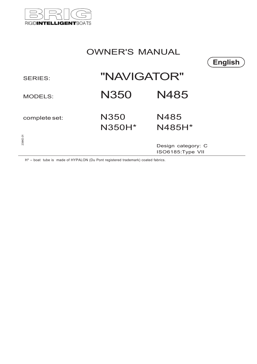

# OWNER'S MANUAL



| <b>SERIES:</b> | "NAVIGATOR"    |                                        |  |
|----------------|----------------|----------------------------------------|--|
| <b>MODELS:</b> | N350           | N485                                   |  |
| complete set:  | N350<br>N350H* | N485<br>N485H*                         |  |
| 2384D.01       |                | Design category: C<br>ISO6185:Type VII |  |

H\* – boat tube is made of HYPALON (Du Pont registered trademark) coated fabrics.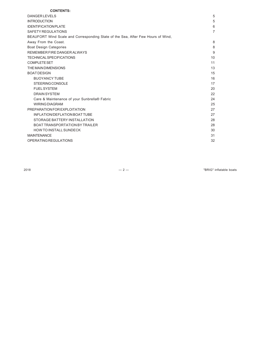#### **CONTENTS:**

| <b>DANGER LEVELS</b>                                                             | 5              |
|----------------------------------------------------------------------------------|----------------|
| <b>INTRODUCTION</b>                                                              | 5              |
| <b>IDENTIFICATION PLATE</b>                                                      | 6              |
| SAFETY REGULATIONS                                                               | $\overline{7}$ |
| BEAUFORT Wind Scale and Corresponding State of the Sea, After Few Hours of Wind, |                |
| Away From the Coast.                                                             | 8              |
| <b>Boat Design Categories</b>                                                    | 8              |
| REMEMBER FIRE DANGER ALWAYS                                                      | 9              |
| TECHNICAL SPECIFICATIONS                                                         | 10             |
| <b>COMPLETE SET</b>                                                              | 11             |
| THE MAIN DIMENSIONS                                                              | 13             |
| <b>BOAT DESIGN</b>                                                               | 15             |
| <b>BUOYANCY TUBE</b>                                                             | 16             |
| STEERING CONSOLE                                                                 | 17             |
| <b>FUEL SYSTEM</b>                                                               | 20             |
| <b>DRAIN SYSTEM</b>                                                              | 22             |
| Care & Maintenance of your Sunbrella® Fabric                                     | 24             |
| <b>WIRING DIAGRAM</b>                                                            | 25             |
| PREPARATION FOR EXPLOITATION                                                     | 27             |
| INFLATION/DEFLATION BOAT TUBE                                                    | 27             |
| STORAGE BATTERY INSTALLATION                                                     | 28             |
| BOAT TRANSPORTATION BY TRAILER                                                   | 28             |
| <b>HOW TO INSTALL SUNDECK</b>                                                    | 30             |
| <b>MAINTENANCE</b>                                                               | 31             |
| OPERATING REGULATIONS                                                            | 32             |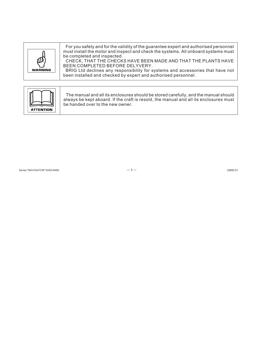

For you safety and for the validity of the guarantee expert and authorised personnel must install the motor and inspect and check the systems. All onboard systems must be completed and inspected.

CHECK, THAT THE CHECKS HAVE BEEN MADE AND THAT THE PLANTS HAVE BEEN COMPLETED BEFORE DELYVERY.

BRIG Ltd declines any responsibility for systems and accessories that have not been installed and checked by expert and authorised personnel.



The manual and all its enclosures should be stored carefully, and the manual should always be kept aboard. If the craft is resold, the manual and all its enclosures must be handed over to the new owner.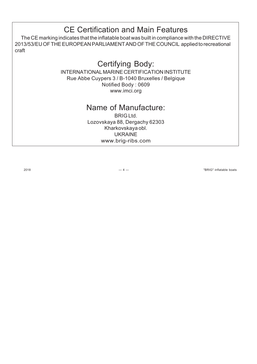# CE Certification and Main Features

The CE marking indicates that the inflatable boat was built in compliance with the DIRECTIVE 2013/53/EU OF THE EUROPEAN PARLIAMENT AND OF THE COUNCIL applied to recreational craft

# Certifying Body:

INTERNATIONAL MARINE CERTIFICATION INSTITUTE Rue Abbe Cuypers 3 / B-1040 Bruxelles / Belgique Notified Body : 0609 www.imci.org

# Name of Manufacture:

BRIG Ltd. Lozovskaya 88, Dergachy 62303 Kharkovskaya obl. UKRAINE www.brig-ribs.com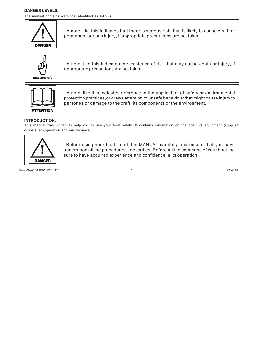# **DANGER LEVELS.**

The manual contains warnings, identified as follows:



A note like this indicates that there is serious risk, that is likely to cause death or permanent serious injury, if appropriate precautions are not taken.



A note like this indicates the existence of risk that may cause death or injury, if appropriate precautions are not taken.



A note like this indicates reference to the application of safety or environmental protection practices,or draws attention to unsafe behaviour that might cause injury to persones or damage to the craft, its components or the environment.

# **INTRODUCTION.**

This manual was written to help you to use your boat safely. It contains information on the boat, its equipment (supplied or installed),operation and maintenance.



Before using your boat, read this MANUAL carefully and ensure that you have understood all the procedures it describes. Before taking command of your boat, be sure to have acquired experience and confidence in its operation.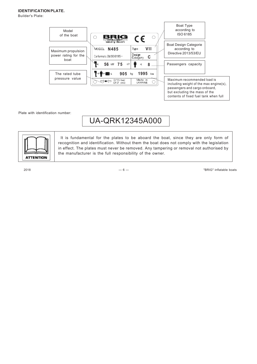# **IDENTIFICATION PLATE.**

Builder's Plate:



Plate with identification number:

# UA-QRK12345A000



It is fundamental for the plates to be aboard the boat, since they are only form of recognition and identification. Without them the boat does not comply with the legislation in effect. The plates must never be removed. Any tampering or removal not authorised by the manufacturer is the full responsibility of the owner.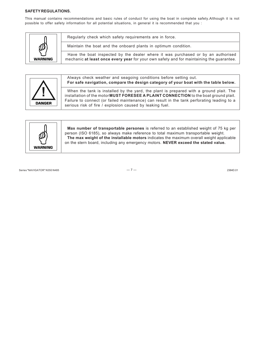#### **SAFETY REGULATIONS.**

This manual contains recommendations and basic rules of conduct for using the boat in complete safety.Although it is not possible to offer safety information for all potential situations, in general it is recommended that you :





Always check weather and seagoing conditions before setting out. **For safe navigation, compare the design category of your boat with the table below.**

When the tank is installed by the yard, the plant is prepared with a ground plait. The installation of the motor **MUST FORESEE A PLAINT CONNECTION** to the boat ground plait. Failure to connect (or failed maintenance) can result in the tank perforating leading to a serious risk of fire / explosion caused by leaking fuel.



**Max number of transportable persones** is referred to an established weight of 75 kg per person (ISO 6185), so always make reference to total maximum transportable weight. **The max weight of the installable motors** indicates the maximum overall weight applicable on the stern board, including any emergency motors. **NEVER exceed the stated value.**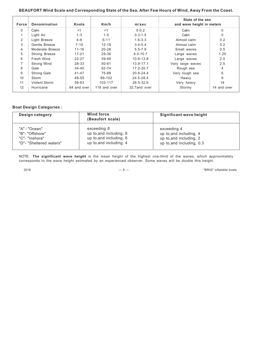| Force    | Denomination       | <b>Knots</b> | Km/h         | m/sec         | State of the sea<br>and wave height in meters |             |
|----------|--------------------|--------------|--------------|---------------|-----------------------------------------------|-------------|
| $\Omega$ | Calm               | $<$ 1        | $<$ 1        | $0 - 0.2$     | Calm                                          | 0           |
|          | Light Air          | $1 - 3$      | $1 - 5$      | $0.3 - 1.5$   | Calm                                          | 0           |
| 2        | Light Breeze       | $4 - 6$      | $6 - 11$     | $1.6 - 3.3$   | Almost calm                                   | 0.2         |
| 3        | Gentle Breeze      | $7 - 10$     | $12 - 19$    | $3.4 - 5.4$   | Almost calm                                   | 0.2         |
| 4        | Moderate Breeze    | $11 - 16$    | $20 - 28$    | $5.5 - 7.9$   | Small waves                                   | 0.5         |
| 5        | Strong Breeze      | $17 - 21$    | 29-38        | $8.0 - 10.7$  | Large waves                                   | 1.25        |
| 6        | Fresh Wind         | $22 - 27$    | $39-49$      | $10.8 - 13.8$ | Large waves                                   | 2.0         |
|          | <b>Strong Wind</b> | 28-33        | $50 - 61$    | 13.9-17.1     | Very large waves                              | 2.5         |
| 8        | Gale               | 34-40        | 62-74        | $17.2 - 20.7$ | Rough sea                                     | 4           |
| 9        | <b>Strong Gale</b> | $41 - 47$    | 75-88        | $20.8 - 24.4$ | Very rough sea                                | 6           |
| 10       | Storm              | 48-55        | 89-102       | 24.5-28.4     | Heavy                                         | 9           |
| 11       | Violent Storm      | 56-63        | 103-117      | 28.5-32.6     | Very heavy                                    | 14          |
| 12       | Hurricane          | 64 and over  | 118 and over | 32.7and over  | Stormy                                        | 14 and over |

# **BEAUFORT Wind Scale and Corresponding State of the Sea, After Few Hours of Wind, Away From the Coast.**

# **Boat Design Categories :**

| Design category         | Wind force<br>(Beaufort scale) | Significant wave height   |
|-------------------------|--------------------------------|---------------------------|
| "A" - "Ocean"           | exceeding 8                    | exceeding 4               |
| "B"- "Offshore"         | up to, and including, 8        | up to, and including, 4   |
| "C"- "Inshore"          | up to, and including, 6        | up to, and including, 2   |
| "D"- "Sheltered waters" | up to, and including, 4        | up to, and including, 0.3 |

NOTE: **The significant wave height** is the mean height of the highest one-third of the waves, which approximately corresponds to the wave height estimated by an experienced observer. Some waves will be double this height.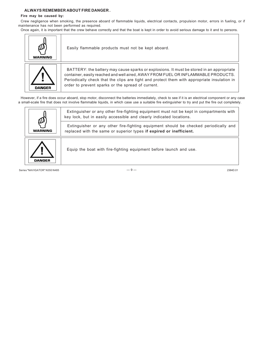### **ALWAYS REMEMBER ABOUT FIRE DANGER .**

#### **Fire may be caused by:**

Crew negligence when smoking, the presence aboard of flammable liquids, electrical contacts, propulsion motor, errors in fueling, or if maintenance has not been performed as required.

Once again, it is important that the crew behave correctly and that the boat is kept in order to avoid serious damage to it and to persons.



However, if a fire does occur aboard, stop motor, disconnect the batteries immediately, check to see if it is an electrical component or any case a small-scale fire that does not involve flammable liquids, in which case use a suitable fire extinguisher to try and put the fire out completely.

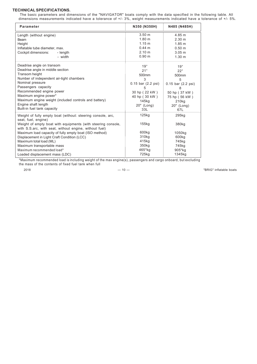#### **TECHNICAL SPECIFICATIONS.**

The basic parameters and dimensions of the "NAVIGATOR" boats comply with the data specified in the following table. All dimensions measurements indicated have a tolerance of +/- 3%, weight measurements indicated have a tolerance of +/- 5%.

| Parameter                                                                                                               | N350 (N350H)       | N485 (N485H)       |
|-------------------------------------------------------------------------------------------------------------------------|--------------------|--------------------|
| Length (without engine)                                                                                                 | 3.50 m             | 4.85 m             |
| <b>Beam</b>                                                                                                             | 1.80 <sub>m</sub>  | 2.30 m             |
| Height                                                                                                                  | 1.15 m             | 1.85 m             |
| Inflatable tube diameter, max.                                                                                          | $0.44 \; m$        | 0.50 m             |
| Cockpit dimensions:<br>- length                                                                                         | 2.10 m             | 3.05 m             |
| - width                                                                                                                 | 0.90 m             | 1.30 <sub>m</sub>  |
| Deadrise angle on transom                                                                                               | $19^{\circ}$       | $19^\circ$         |
| Deadrise angle in middle section                                                                                        | $21^{\circ}$       | $22^{\circ}$       |
| Transom height                                                                                                          | 500 <sub>mm</sub>  | 500mm              |
| Number of independent air-tight chambers                                                                                | 3                  | 5                  |
| Nominal pressure                                                                                                        | 0.15 bar (2.2 psi) | 0.15 bar (2.2 psi) |
| Passengers capacity                                                                                                     | 5                  | 8                  |
| Recommended engine power                                                                                                | 30 hp (22 kW)      | 50 hp (37 kW)      |
| Maximum engine power*                                                                                                   | 40 hp (30 kW)      | 75 hp (56 kW)      |
| Maximum engine weight (included controls and battery)                                                                   | 145kg              | 210 <sub>kg</sub>  |
| Engine shaft length                                                                                                     | 20" (Long)         | 20" (Long)         |
| Built-in fuel tank capacity                                                                                             | 33L                | 67L                |
| Weight of fully empty boat (without: steering console, arc,<br>seat, fuel, engine)                                      | 125kg              | 295kg              |
| Weight of empty boat with equipments (with steering console,<br>with S.S. arc, with seat, without engine, without fuel) | 155kg              | 380kg              |
| Maximum load capacity of fully empty boat (ISO method)                                                                  | 600kg              | 1050kg             |
| Displacement in Light Craft Condition (LCC)                                                                             | 310 <sub>kg</sub>  | 600kg              |
| Maximum total load (ML)                                                                                                 | 415kg              | 745kg              |
| Maximum transportable mass                                                                                              | 350 <sub>kg</sub>  | 745kg              |
| Maximum recommended load*                                                                                               | 465*kg             | 905*kg             |
| Loaded displacement mass (LDC)                                                                                          | 725kg              | 1345kg             |

\*Maximum recommended load is including weight of the max engine(s), passengers and cargo onboard, but excluding the mass of the contents of fixed fuel tank when full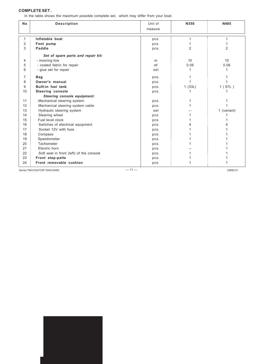### **COMPLETE SET .**

In the table shows the maximum possible complete set, which may differ from your boat.

| <b>No</b> | <b>Description</b>                       | Unit of        | N350   | N485           |
|-----------|------------------------------------------|----------------|--------|----------------|
|           |                                          | measure        |        |                |
|           |                                          |                |        |                |
| 1         | Inflatable boat                          | pcs.           | 1      |                |
| 2         | Foot pump                                | pcs.           |        |                |
| 3         | Paddle                                   | pcs.           | 2      | $\overline{2}$ |
|           | Set of spare parts and repair kit:       |                |        |                |
| 4         | - mooring line                           | m              | 10     | 15             |
| 5         | - coated fabric for repair               | m <sup>2</sup> | 0.06   | 0.06           |
| 6         | - glue set for repair                    | set            |        |                |
| 7         | <b>Bag</b>                               | pcs.           |        |                |
| 8         | Owner's manual                           | pcs.           |        |                |
| 9         | Built-in fuel tank                       | pcs.           | 1(33L) | 1(67L)         |
| 10        | Steering console                         | pcs.           |        |                |
|           | <b>Steering console equipment:</b>       |                |        |                |
| 11        | Mechanical steering system               | pcs.           |        |                |
| 12        | Mechanical steering system cable         | pcs.           |        |                |
| 13        | Hydraulic steering system                | set            |        | 1 (variant)    |
| 14        | Steering wheel                           | pcs.           |        |                |
| 15        | Fuel level clock                         | pcs.           |        |                |
| 16        | Switches of electrical equipment         | pcs.           |        |                |
| 17        | Socket 12V with fuse                     | pcs.           |        |                |
| 18        | Compass                                  | pcs.           |        |                |
| 19        | Speedometer                              | pcs.           |        |                |
| 20        | Tachometer                               | pcs.           |        |                |
| 21        | Electric horn                            | pcs.           |        |                |
| 22        | Soft seat in front (left) of the console | pcs.           |        |                |
| 23        | Front step-palte                         | pcs.           |        |                |
| 24        | Front removable cushion                  | pcs.           |        |                |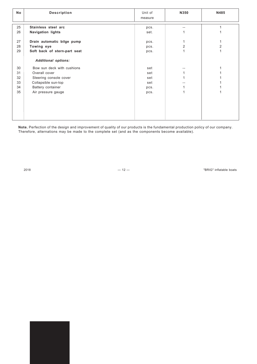| No | <b>Description</b>           | Unit of<br>measure | N350 | N485 |
|----|------------------------------|--------------------|------|------|
|    |                              |                    |      |      |
| 25 | Stainless steel arc          | pcs.               |      |      |
| 26 | <b>Navigation lights</b>     | set.               |      |      |
| 27 | Drain automatic bilge pump   | pcs.               |      |      |
| 28 | Towing eye                   | pcs.               | 2    | 2    |
| 29 | Soft back of stern-part seat | pcs.               |      |      |
|    |                              |                    |      |      |
|    | <b>Additional options:</b>   |                    |      |      |
| 30 | Bow sun deck with cushions   | set                |      |      |
| 31 | Overall cover                | set                |      |      |
| 32 | Steering console cover       | set                |      |      |
| 33 | Collapsible sun-top          | set                |      |      |
| 34 | Battery container            | pcs.               |      |      |
| 35 | Air pressure gauge           | pcs.               |      |      |
|    |                              |                    |      |      |
|    |                              |                    |      |      |
|    |                              |                    |      |      |
|    |                              |                    |      |      |
|    |                              |                    |      |      |
|    |                              |                    |      |      |

**Note.** Perfection of the design and improvement of quality of our products is the fundamental production policy of our company. Therefore, alternations may be made to the complete set (and as the components become available).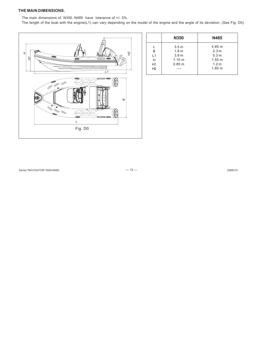#### **THE MAIN DIMENSIONS.**

The main dimensions of N350, N485 have tolerance of +/- 3%.

The length of the boat with the engine(L1) can vary depending on the model of the engine and the angle of its deviation. (See Fig. D0)



|    | <b>N350</b>      | N485             |
|----|------------------|------------------|
|    | 3.5 <sub>m</sub> | 4.85 m           |
| B  | 1.8 <sub>m</sub> | 2.3 <sub>m</sub> |
| L1 | 3.9 <sub>m</sub> | 5.3 <sub>m</sub> |
| н  | 1.15 m           | 1.55 m           |
| H1 | 0.85 m           | 1.2 <sub>m</sub> |
| H2 |                  | 1.85 m           |
|    |                  |                  |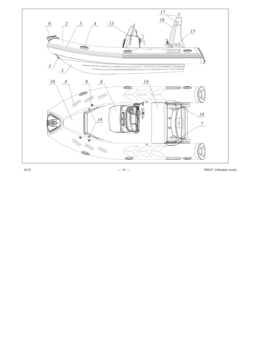



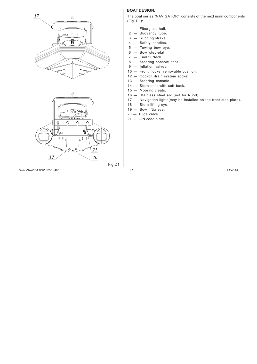

# **BOAT DESIGN.**

The boat series "NAVIGATOR" consists of the next main components (Fig. D1):

- 1 Fiberglass hull.
- 2 Buoyancy tube.
- 3 Rubbing strake.
- 4 Safety handles.
- 5 Towing bow eye.
- 6 Bow step-plat.
- 7 Fuel fil Neck.
- 8 Steering console seat.
- 9 Inflation valves.
- 10 Front locker removable cushion.
- 12 Cockpit drain system socket.
- 13 Steering console.
- 14 Stern seat with soft back.
- 15 Mooring cleats.
- 16 Stainless steel arc (not for N350).
- 17 Navigation lights(may be installed on the front step-plate).
- 18 Stern lifting eye.
- 19 Bow liftig eye.
- 20 Bilge valve.
- 21 CIN code plate.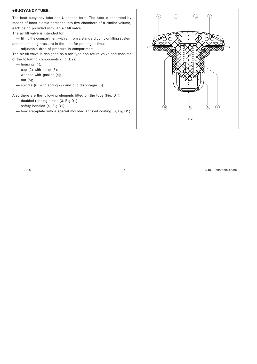### **BUOYANCY TUBE.**

The boat buoyancy tube has U-shaped form. The tube is separated by means of inner elastic partitions into five chambers of a similar volume, each being provided with an air fill valve.

The air fill valve is intended for:

— filling the compartment with air from a standard pump or filling system and maintaining pressure in the tube for prolonged time,

— adjustable drop of pressure in compartment.

The air fill valve is designed as a tab-type non-return valve and consists of the following components (Fig. D2):

- $-$  housing  $(1)$ ;
- cup  $(2)$  with strap  $(3)$ ;
- washer with gasket (4);
- $-$  nut (5);
- spindle (6) with spring (7) and cup diaphragm (8).

Also there are the following elements fitted on the tube (Fig. D1):

- doubled rubbing strake (3, Fig.D1);
- safety handles (4, Fig.D1);
- bow step-plate with a special moulded antiskid coating (6, Fig.D1).

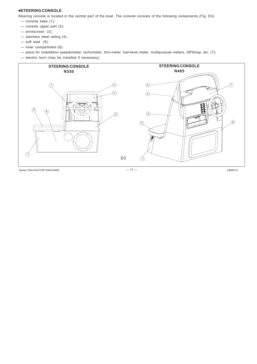# **SSTEERING CONSOLE.**

Steering console is located in the central part of the boat. The console consists of the following components (Fig. D3):

- console base (1);
- console upper part (2);
- windscreen (3);
- stainless steel railing (4);
- $-$  soft seat (5);
- inner compartment (6);
- place for installation speedometer, tachometer, trim-meter, fuel-level meter, multipurpose meters, GPSmap, etc. (7);
- electric horn (may be installed if necessary).

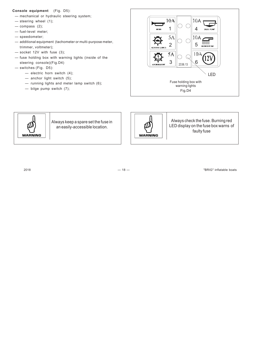#### **Console equipment** (Fig. D5):

- mechanical or hydraulic steering system;
- steering wheel (1);
- $-$  compass  $(2)$ ;
- fuel-level meter;
- speedometer;
- additional equipment (tachometer or multi-purpose meter, trimmer, voltmeter);
- socket 12V with fuse (3);
- fuse holding box with warning lights (inside of the steering console)(Fig.D4)
- switches (Fig. D5):
	- $-$  electric horn switch  $(4)$ :
	- anchor light switch (5);
	- running lights and meter lamp switch (6);
	- bilge pump switch (7);





Always keep a spare set the fuse in an easily-accessible location.



Always check the fuse. Burning red LED display on the fuse box warns of faulty fuse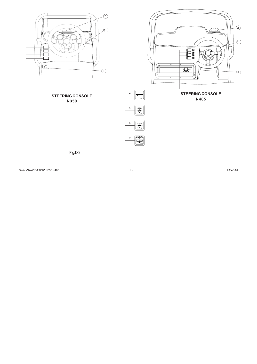

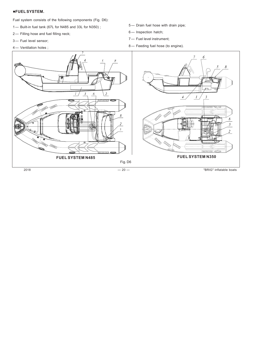# $\bullet$ **FUEL SYSTEM.**

Fuel system consists of the following components (Fig. D6):

- 1— Built-in fuel tank (67L for N485 and 33L for N350) ;
- 2— Filling hose and fuel filling neck;
- 3— Fuel level sensor;
- 4— Ventilation holes ;



- 6 Inspection hatch;
- 7 Fuel level instrument;
- 8- Feeding fuel hose (to engine).

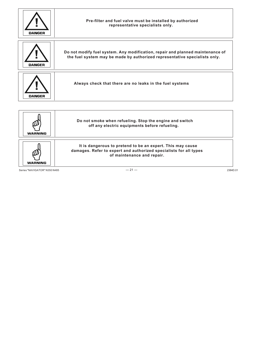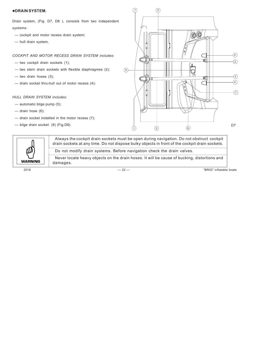#### $\bullet$ **DRAIN SYSTEM.**

Drain system, (Fig. D7, D8 ), consists from two independent systems:

- cockpit and motor recess drain system;
- hull drain system.

*COCKPIT AND MOTOR RECESS DRAIN SYSTEM includes*:

- two cockpit drain sockets (1);
- two stern drain sockets with flexible diaphragmes (2);
- two drain hoses (3);
- drain socket thru-hull out of motor recess (4);

#### *HULL DRAIN SYSTEM includes*:

- automatic bilge pump (5);
- $-$  drain hose  $(6)$ :
- drain socket installed in the motor recess (7);
- bilge drain socket (8) (Fig.D8).





Always the cockpit drain sockets must be open during navigation. Do not obstruct cockpit drain sockets at any time. Do not dispose bulky objects in front of the cockpit drain sockets. Do not modify drain systems. Before navigation check the drain valves. Never locate heavy objects on the drain hoses. It will be cause of bucking, distortions and damages.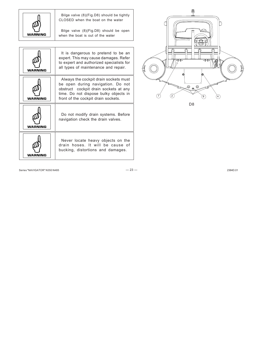

Bilge valve (8)(Fig.D8) should be tightly CLOSED when the boat on the water

Bilge valve (8)(Fig.D8) should be open when the boat is out of the water





D<sub>8</sub>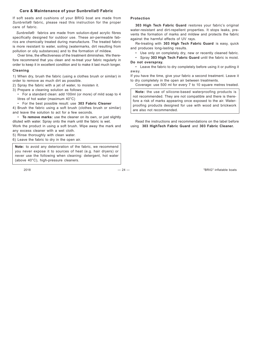### **Care & Maintenance of your Sunbrella® Fabric**

If soft seats and cushions of your BRIG boat are made from *Sunbrella*® fabric, please read this instruction for the proper care of fabric.

*Sunbrella*® fabrics are made from solution-dyed acrylic fibres specifically designed for outdoor use. These air-permeable fabrics are chemically treated during manufacture. The treated fabric is more resistant to water, soiling (watermarks, dirt resulting from pollution or oily substances) and to the formation of mildew.

Over time, the effectiveness of the treatment diminishes. We therefore recommend that you clean and re-treat your fabric regularly in order to keep it in excellent condition and to make it last much longer.

#### **Cleaning**

1) When dry, brush the fabric (using a clothes brush or similar) in order to remove as much dirt as possible.

- 2) Spray the fabric with a jet of water, to moisten it.
- 3) Prepare a cleaning solution as follows:
	- For a standard clean: add 100ml (or more) of mild soap to 4 litres of hot water (maximum 40°C)
	- For the best possible result: use **303 Fabric Cleaner**

4) Brush the fabric using a soft brush (clothes brush or similar) and leave the solution to act for a few seconds.

• **To remove marks:** use the cleaner on its own, or just slightly diluted with water. Spray onto the mark until the fabric is wet.

Work the product in using a soft brush. Wipe away the mark and any excess cleaner with a wet cloth.

5) Rinse thoroughly with clean water.

6) Leave the fabric to dry in the open air.

**Note:** to avoid any deterioration of the fabric, we recommend you never expose it to sources of heat (e.g. hair dryers) or never use the following when cleaning: detergent, hot water (above 40°C), high-pressure cleaners.

#### **Protection**

**303 High Tech Fabric Guard** restores your fabric's original water-resistant and dirt-repellent properties. It stops leaks, prevents the formation of marks and mildew and protects the fabric against the harmful effects of UV rays.

Re-treating with **303 High Tech Fabric Guard** is easy, quick and produces long-lasting results.

• Use only on completely dry, new or recently cleaned fabric.

• Spray **303 High Tech Fabric Guard** until the fabric is moist. **Do not overspray.**

• Leave the fabric to dry completely before using it or putting it away.

If you have the time, give your fabric a second treatment. Leave it to dry completely in the open air between treatments.

Coverage: use 500 ml for every 7 to 10 square metres treated.

**Note:** the use of silicone-based waterproofing products is not recommended. They are not compatible and there is therefore a risk of marks appearing once exposed to the air. Waterproofing products designed for use with wood and brickwork are also not recommended.

Read the instructions and recommendations on the label before using **303 HighTech Fabric Guard** and **303 Fabric Cleaner.**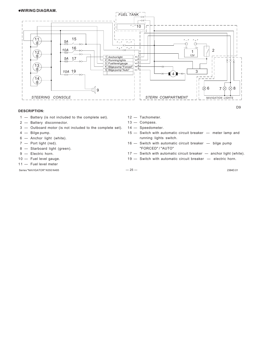#### z**WIRING DIAGRAM.**



#### **DESCRIPTION:**

- 1 Battery (is not included to the complete set). 12 Tachometer.
- 2 Battery disconnector.
- 3 Outboard motor (is not included to the complete set). 14 Speedometer.
- 4 Bilge pump.
- 6 Anchor light (white).
- 7 Port light (red).
- 8 Starboard light (green).
- 9 Electric horn.
- 10 Fuel level gauge.
- 11 Fuel level meter
- Series "NAVIGATOR" N350 N485 25 2384D.01
- 
- 13 Compass.
	-
- 15 Switch with automatic circuit breaker meter lamp and running lights switch.
- 16 Switch with automatic circuit breaker bilge pump "FORCED" / "AUTO"
- 17 Switch with automatic circuit breaker anchor light (white).
- 19 Switch with automatic circuit breaker electric horn.

D9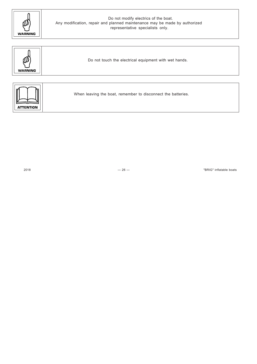

Do not modify electrics of the boat. Any modification, repair and planned maintenance may be made by authorized representative specialists only.



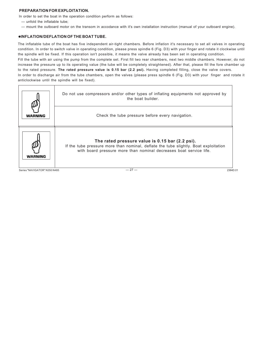#### **PREPARATION FOR EXPLOITATION.**

In order to set the boat in the operation condition perform as follows:

- unfold the inflatable tube;
- mount the outboard motor on the transom in accodance with it's own installation instruction (manual of your outboard engine).

#### $\bullet$ INFLATION/DEFLATION OF THE BOAT TUBE.

The inflatable tube of the boat has five independent air-tight chambers. Before inflation it's necessary to set all valves in operating condition. In order to switch valve in operating condition, please press spindle 6 (Fig. D3) with your finger and rotate it clockwise until the spindle will be fixed. If this operation isn't possible, it means the valve already has been set in operating condition. Fill the tube with air using the pump from the complete set. First fill two rear chambers, next two middle chambers. However, do not increase the pressure up to its operating value (the tube will be completely straightened). After that, please fill the fore chamber up to the rated pressure. **The rated pressure value is 0.15 bar (2.2 psi).** Having completed filling, close the valve covers.

In order to discharge air from the tube chambers, open the valves (please press spindle 6 (Fig. D3) with your finger and rotate it anticlockwise until the spindle will be fixed).

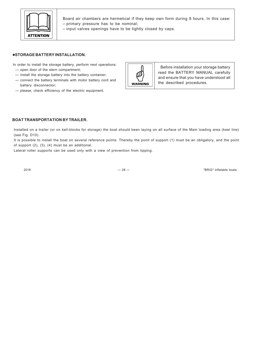

Board air chambers are hermetical if they keep own form during 8 hours. In this case: – primary pressure has to be nominal;

– input valves openings have to be tightly closed by caps.

### $\bullet$ **STORAGE BATTERY INSTALLATION.**

In order to install the storage battery, perform next operations:

- open door of the stern compartment;
- install the storage battery into the battery container;
- connect the battery terminals with motor battery cord and battery disconnector;
- please, check efficiency of the electric equipment.



Before installation your storage battery read the BATTERY MANUAL carefully and ensure that you have understood all the described procedures.

#### **BOAT TRANSPORTATION BY TRAILER.**

Installed on a trailer (or on kell-blocks for storage) the boat should been laying on all surface of the Main loading area (keel line) (see Fig. D10).

It is possible to install the boat on several reference points. Thereby the point of support (1) must be an obligatory, and the point of support (2), (3), (4) must be an additional.

Lateral roller supports can be used only with a view of prevention from tipping.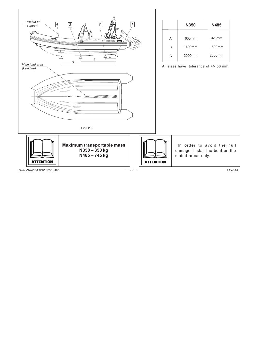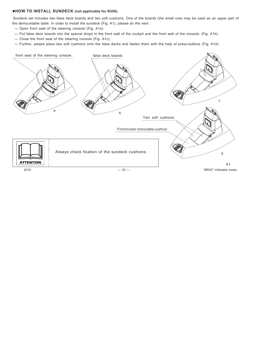# $\bullet$ **HOW TO INSTALL SUNDECK** (not applicable for N350).

Sundeck set includes two false deck boards and two soft cushions. One of the boards (the small one) may be used as an upper part of the demountable table. In order to install the sundeck (Fig. A1), please do the next:

- Open front seat of the steering console (Fig. A1a).
- Put false deck boards into the special drops in the front wall of the cockpit and the front wall of the console, (Fig. A1b).
- Close the front seat of the steering console (Fig. A1c).
- Further, please place two soft cushions onto the false decks and fasten them with the help of press-buttons (Fig. A1d).

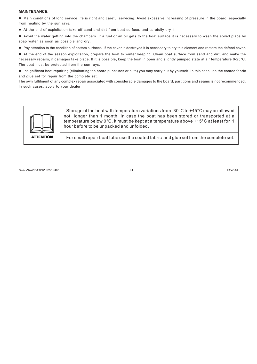#### **MAINTENANCE.**

 $\bullet$  Main conditions of long service life is right and careful servicing. Avoid excessive increasing of pressure in the board, especially from heating by the sun rays.

 $\bullet$  At the end of exploitation take off sand and dirt from boat surface, and carefully dry it.

• Avoid the water getting into the chambers. If a fuel or an oil gets to the boat surface it is necessary to wash the soiled place by soap water as soon as possible and dry.

• Pay attention to the condition of bottom surfaces. If the cover is destroyed it is necessary to dry this element and restore the defend cover.

• At the end of the season exploitation, prepare the boat to winter keeping. Clean boat surface from sand and dirt, and make the necessary repairs, if damages take place. If it is possible, keep the boat in open and slightly pumped state at air temperature 0-25°C. The boat must be protected from the sun rays.

 $\bullet$  Insignificant boat repairing (eliminating the board punctures or cuts) you may carry out by yourself. In this case use the coated fabric and glue set for repair from the complete set.

The own fulfilment of any complex repair associated with considerable damages to the board, partitions and seams is not recommended. In such cases, apply to your dealer.



Storage of the boat with temperature variations from -30°C to +45°C may be allowed not longer than 1 month. In case the boat has been stored or transported at a temperature below 0°C, it must be kept at a temperature above +15°C at least for 1 hour before to be unpacked and unfolded.

For small repair boat tube use the coated fabric and glue set from the complete set.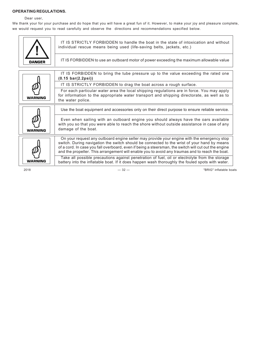#### **OPERATING REGULATIONS.**

Dear user,

We thank your for your purchase and do hope that you will have a great fun of it. However, to make your joy and pleasure complete, we would request you to read carefully and observe the directions and recommendations specified below.

|                | IT IS STRICTLY FORBIDDEN to handle the boat in the state of intoxication and without<br>individual rescue means being used (life-saving belts, jackets, etc.)                                                |
|----------------|--------------------------------------------------------------------------------------------------------------------------------------------------------------------------------------------------------------|
| <b>DANGER</b>  | IT IS FORBIDDEN to use an outboard motor of power exceeding the maximum allowable value                                                                                                                      |
|                |                                                                                                                                                                                                              |
|                | IT IS FORBIDDEN to bring the tube pressure up to the value exceeding the rated one<br>$(0.15 \text{ bar}(2.2 \text{psi}))$                                                                                   |
| <b>WARNING</b> | IT IS STRICTLY FORBIDDEN to drag the boat across a rough surface.                                                                                                                                            |
|                | For each particular water area the local shipping regulations are in force. You may apply<br>for information to the appropriate water transport and shipping directorate, as well as to<br>the water police. |
|                | Use the boat equipment and accessories only on their direct purpose to ensure reliable service.                                                                                                              |
|                | Even when sailing with an outboard engine you should always have the oars available<br>with you so that you were able to reach the shore without outside assistance in case of any                           |

**WARNING** 

**WARNING** 

damage of the boat.

On your request any outboard engine seller may provide your engine with the emergency stop switch. During navigation the switch should be connected to the wrist of your hand by means of a cord. In case you fall overboard, even if being a steersman, the switch will cut out the engine and the propeller. This arrangement will enable you to avoid any traumas and to reach the boat.

Take all possible precautions against penetration of fuel, oil or electrolyte from the storage battery into the inflatable boat. If it does happen wash thoroughly the fouled spots with water.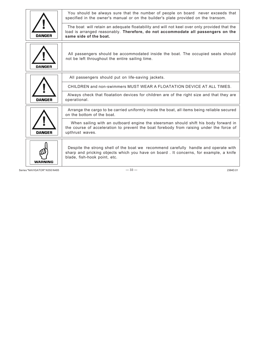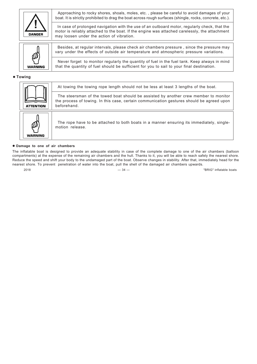

Approaching to rocky shores, shoals, moles, etc. , please be careful to avoid damages of your boat. It is strictly prohibited to drag the boat across rough surfaces (shingle, rocks, concrete, etc.).

In case of prolonged navigation with the use of an outboard motor, regularly check, that the motor is reliably attached to the boat. If the engine was attached carelessly, the attachment may loosen under the action of vibration.



Besides, at regular intervals, please check air chambers pressure , since the pressure may vary under the effects of outside air temperature and atmospheric pressure variations.

Never forget to monitor regularly the quantity of fuel in the fuel tank. Keep always in mind that the quantity of fuel should be sufficient for you to sail to your final destination.

 $\bullet$  **Towing** 



At towing the towing rope length should not be less at least 3 lengths of the boat.

The steersman of the towed boat should be assisted by another crew member to monitor the process of towing. In this case, certain communication gestures should be agreed upon beforehand.



The rope have to be attached to both boats in a manner ensuring its immediately, singlemotion release.

#### $\bullet$  Damage to one of air chambers

The inflatable boat is designed to provide an adequate stability in case of the complete damage to one of the air chambers (balloon compartments) at the expense of the remaining air chambers and the hull. Thanks to it, you will be able to reach safely the nearest shore. Reduce the speed and shift your body to the undamaged part of the boat. Observe changes in stability. After that, immediately head for the nearest shore. To prevent penetration of water into the boat, pull the shell of the damaged air chambers upwards.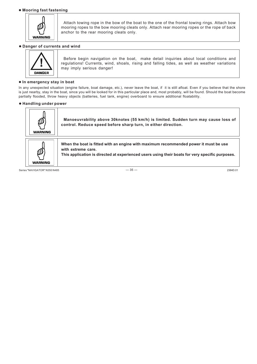# $\bullet$  Mooring fast fastening



Attach towing rope in the bow of the boat to the one of the frontal towing rings. Attach bow mooring ropes to the bow mooring cleats only. Attach rear mooring ropes or the rope of back anchor to the rear mooring cleats only.

 $\bullet$  **Danger of currents and wind** 



Before begin navigation on the boat, make detail inquiries about local conditions and regulations! Currents, wind, shoals, rising and falling tides, as well as weather variations may imply serious danger!

#### $\bullet$  In emergency stay in boat

In any unexpected situation (engine failure, boat damage, etc.), never leave the boat, if it is still afloat. Even if you believe that the shore is just nearby, stay in the boat, since you will be looked for in this particular place and, most probably, will be found. Should the boat become partially flooded, throw heavy objects (batteries, fuel tank, engine) overboard to ensure additional floatability.

#### $\bullet$  **Handling under power**



**Manoeuvrability above 30knotes (55 km/h) is limited. Sudden turn may cause loss of control. Reduce speed before sharp turn, in either direction.**



**When the boat is fitted with an engine with maximum recommended power it must be use with extreme care.**

**This application is directed at experienced users using their boats for very specific purposes.**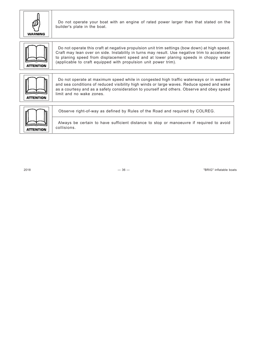

Do not operate your boat with an engine of rated power larger than that stated on the builder's plate in the boat.



Do not operate this craft at negative propulsion unit trim settings (bow down) at high speed. Craft may lean over on side. Instability in turns may result. Use negative trim to accelerate to planing speed from displacement speed and at lower planing speeds in choppy water (applicable to craft equipped with propulsion unit power trim).



Do not operate at maximum speed while in congested high traffic waterways or in weather and sea conditions of reduced visibility high winds or large waves. Reduce speed and wake as a courtesy and as a safety consideration to yourself and others. Observe and obey speed limit and no wake zones.



Observe right-of-way as defined by Rules of the Road and required by COLREG.

Always be certain to have sufficient distance to stop or manoeuvre if required to avoid collisions.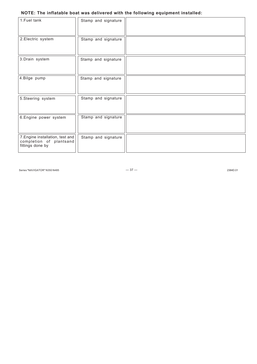# **NOTE: The inflatable boat was delivered with the following equipment installed:**

| 1. Fuel tank                                                                    | Stamp and signature |  |
|---------------------------------------------------------------------------------|---------------------|--|
| 2. Electric system                                                              | Stamp and signature |  |
| 3. Drain system                                                                 | Stamp and signature |  |
| 4.Bilge pump                                                                    | Stamp and signature |  |
| 5. Steering system                                                              | Stamp and signature |  |
| 6. Engine power system                                                          | Stamp and signature |  |
| 7. Engine installation, test and<br>completion of plantsand<br>fittings done by | Stamp and signature |  |